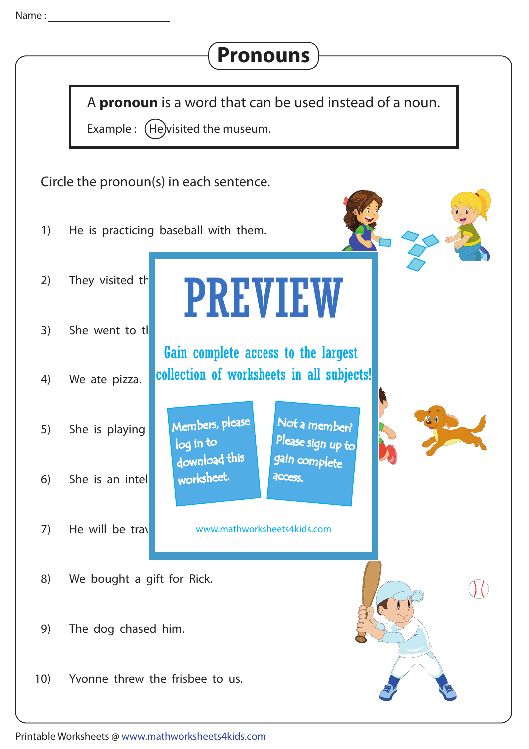

## **Pronouns**